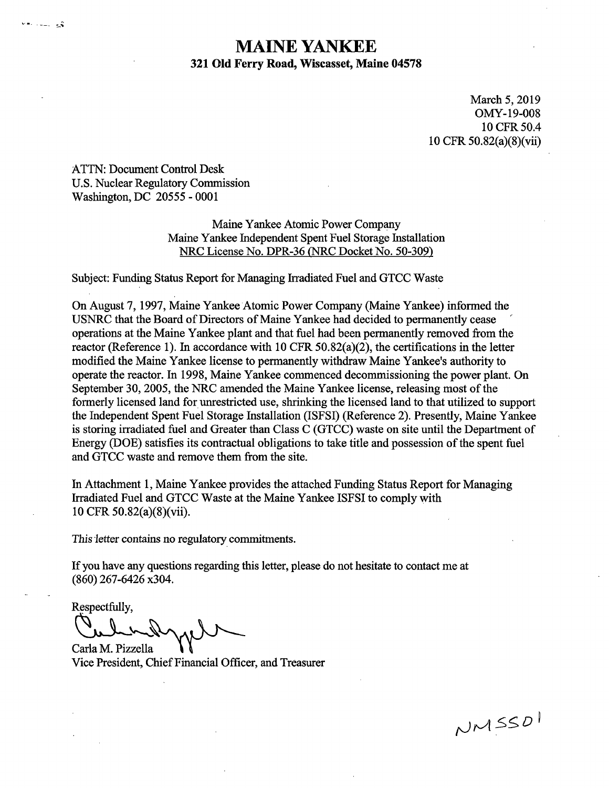# **MAINE YANKEE 321 Old Ferry Road, Wiscasset, Maine 04578**

March 5, 2019 OMY-19-008 10 CFR50.4 10 CFR 50.82(a)(8)(vii)

ATTN: Document Control Desk U.S. Nuclear Regulatory Commission Washington, DC 20555 - 0001

v∗licul v§

Maine Yankee Atomic Power Company Maine Yankee Independent Spent Fuel Storage Installation NRC License No. DPR-36 {NRC Docket No. 50-309)

Subject: Funding Status Report for Managing Irradiated Fuel and GTCC Waste

On August 7, 1997, Maine Yankee Atomic Power Company (Maine Yankee) informed the USNRC that the Board of Directors of Maine Yankee had decided to permanently cease operations at the Maine Yankee plant and that fuel had been permanently removed from the reactor (Reference 1). In accordance with 10 CFR 50.82(a)(2), the certifications in the letter modified the Maine Yankee license to permanently withdraw Maine Yankee's authority to operate the reactor. In 1998, Maine Yankee commenced decommissioning the power plant. On September 30, 2005, the NRC amended the Maine Yankee license, releasing most of the formerly licensed land for unrestricted use, shrinking the licensed land to that utilized to support the Independent Spent Fuel Storage Installation (ISFSI) (Reference 2). Presently, Maine Yankee is storing irradiated fuel and Greater than Class C (GTCC) waste on site until the Department of Energy (DOE) satisfies its contractual obligations to take title and possession of the spent fuel and GTCC waste and remove them from the site.

In Attachment 1, Maine Yankee provides the attached Funding Status Report for Managing Irradiated Fuel and GTCC Waste at the Maine Yankee ISFSI to comply with 10 CFR 50.82(a)(8)(vii).

This letter contains no regulatory commitments.

If you have any questions regarding this letter, please do not hesitate to contact me at (860) 267-6426 x304.

Respectfully,

Especially,

Carla M. Pizzella Vice President, Chief Financial Officer, and Treasurer

NMSSDI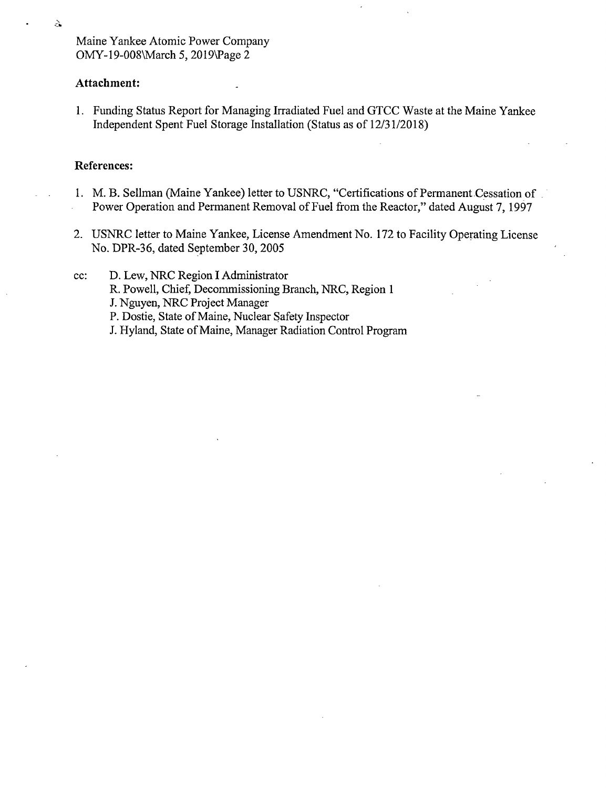Maine Yankee Atomic Power Company OMY-19-008\March 5, 2019\Page 2

### **Attachment:**

ડે

**1.** Funding Status Report for Managing Irradiated Fuel and GTCC Waste at the Maine Yankee Independent Spent Fuel Storage Installation (Status as of 12/31/2018)

### **References:**

- 1. M. B. Sellman (Maine Yankee) letter to USNRC, "Certifications of Permanent Cessation of Power Operation and Permanent Removal of Fuel from the Reactor," dated August 7, 1997
- 2. USNRC letter to Maine Yankee, License Amendment No. 172 to Facility Operating License No. DPR-36, dated September 30, 2005
- cc: D. Lew, NRC Region I Administrator
	- R. Powell, Chief, Decommissioning Branch, NRC, Region **1**
	- J. Nguyen, NRC Project Manager
	- P. Dostie, State of Maine, Nuclear Safety Inspector
	- J. Hyland, State of Maine, Manager Radiation Control Program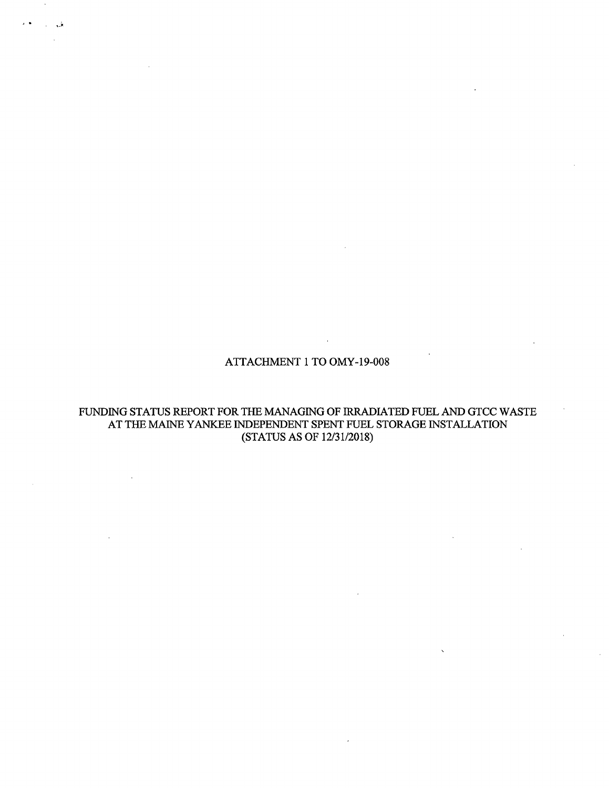ATTACHMENT 1 TO OMY-19-008

FUNDING STATUS REPORT FOR THE MANAGING OF IRRADIATED FUEL AND GTCC WASTE AT THE MAINE YANKEE INDEPENDENT SPENT FUEL STORAGE INSTALLATION (STATUS AS OF 12/31/2018)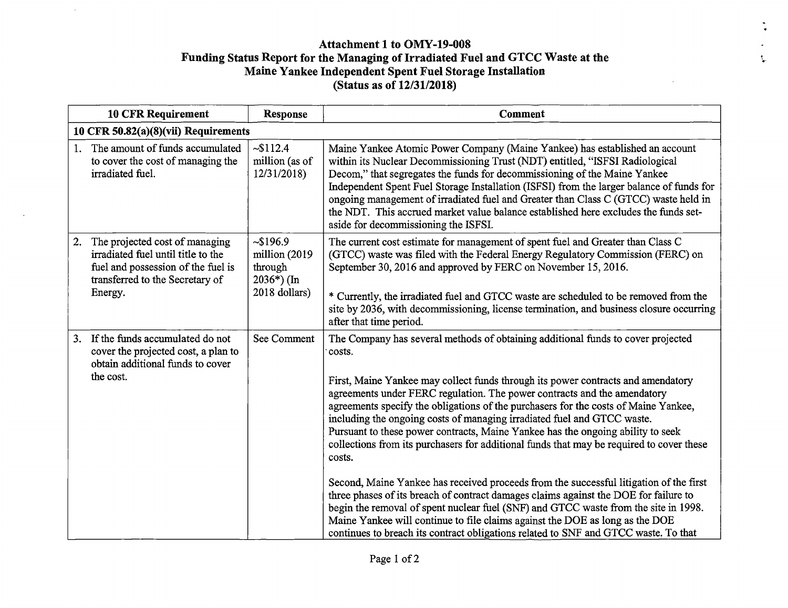## **Attachment 1 to OMY-19-008 Funding Status Report for the Managing of Irradiated Fuel and GTCC Waste at the Maine Yankee Independent Spent Fuel Storage Installation (Status as of 12/31/2018)**

 $\mathbf{t}_\mathrm{e}$ 

 $\mathbf{r}$ 

|                                      | <b>10 CFR Requirement</b>                                                                                                                                | <b>Response</b>                                                      | <b>Comment</b>                                                                                                                                                                                                                                                                                                                                                                                                                                                                                                                                                                                                                                                                                                                                                                                                                                                                                                                                                                                                                                                        |  |
|--------------------------------------|----------------------------------------------------------------------------------------------------------------------------------------------------------|----------------------------------------------------------------------|-----------------------------------------------------------------------------------------------------------------------------------------------------------------------------------------------------------------------------------------------------------------------------------------------------------------------------------------------------------------------------------------------------------------------------------------------------------------------------------------------------------------------------------------------------------------------------------------------------------------------------------------------------------------------------------------------------------------------------------------------------------------------------------------------------------------------------------------------------------------------------------------------------------------------------------------------------------------------------------------------------------------------------------------------------------------------|--|
| 10 CFR 50.82(a)(8)(vii) Requirements |                                                                                                                                                          |                                                                      |                                                                                                                                                                                                                                                                                                                                                                                                                                                                                                                                                                                                                                                                                                                                                                                                                                                                                                                                                                                                                                                                       |  |
| $1_{-}$                              | The amount of funds accumulated<br>to cover the cost of managing the<br>irradiated fuel.                                                                 | ~5112.4<br>million (as of<br>12/31/2018                              | Maine Yankee Atomic Power Company (Maine Yankee) has established an account<br>within its Nuclear Decommissioning Trust (NDT) entitled, "ISFSI Radiological<br>Decom," that segregates the funds for decommissioning of the Maine Yankee<br>Independent Spent Fuel Storage Installation (ISFSI) from the larger balance of funds for<br>ongoing management of irradiated fuel and Greater than Class C (GTCC) waste held in<br>the NDT. This accrued market value balance established here excludes the funds set-<br>aside for decommissioning the ISFSI.                                                                                                                                                                                                                                                                                                                                                                                                                                                                                                            |  |
| 2.                                   | The projected cost of managing<br>irradiated fuel until title to the<br>fuel and possession of the fuel is<br>transferred to the Secretary of<br>Energy. | ~196.9<br>million (2019)<br>through<br>$2036*)$ (In<br>2018 dollars) | The current cost estimate for management of spent fuel and Greater than Class C<br>(GTCC) waste was filed with the Federal Energy Regulatory Commission (FERC) on<br>September 30, 2016 and approved by FERC on November 15, 2016.<br>* Currently, the irradiated fuel and GTCC waste are scheduled to be removed from the<br>site by 2036, with decommissioning, license termination, and business closure occurring<br>after that time period.                                                                                                                                                                                                                                                                                                                                                                                                                                                                                                                                                                                                                      |  |
| 3.                                   | If the funds accumulated do not<br>cover the projected cost, a plan to<br>obtain additional funds to cover<br>the cost.                                  | See Comment                                                          | The Company has several methods of obtaining additional funds to cover projected<br>costs.<br>First, Maine Yankee may collect funds through its power contracts and amendatory<br>agreements under FERC regulation. The power contracts and the amendatory<br>agreements specify the obligations of the purchasers for the costs of Maine Yankee,<br>including the ongoing costs of managing irradiated fuel and GTCC waste.<br>Pursuant to these power contracts, Maine Yankee has the ongoing ability to seek<br>collections from its purchasers for additional funds that may be required to cover these<br>costs.<br>Second, Maine Yankee has received proceeds from the successful litigation of the first<br>three phases of its breach of contract damages claims against the DOE for failure to<br>begin the removal of spent nuclear fuel (SNF) and GTCC waste from the site in 1998.<br>Maine Yankee will continue to file claims against the DOE as long as the DOE<br>continues to breach its contract obligations related to SNF and GTCC waste. To that |  |